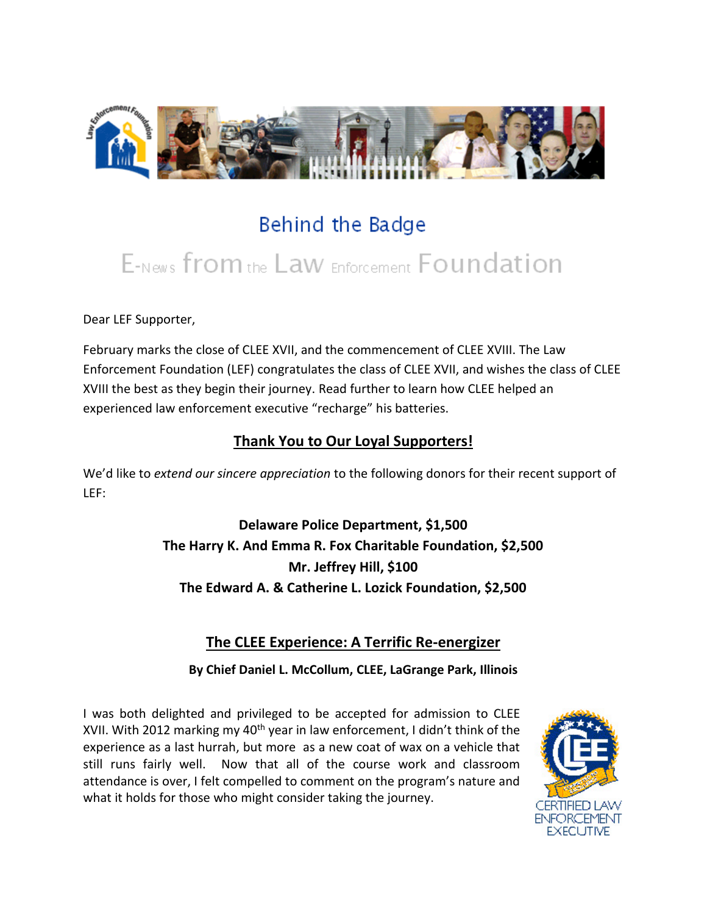

## Behind the Badge

# E-News from the Law Enforcement Foundation

Dear LEF Supporter,

February marks the close of CLEE XVII, and the commencement of CLEE XVIII. The Law Enforcement Foundation (LEF) congratulates the class of CLEE XVII, and wishes the class of CLEE XVIII the best as they begin their journey. Read further to learn how CLEE helped an experienced law enforcement executive "recharge" his batteries.

#### **Thank You to Our Loyal Supporters!**

We'd like to *extend our sincere appreciation* to the following donors for their recent support of LEF:

> **Delaware Police Department, \$1,500 The Harry K. And Emma R. Fox Charitable Foundation, \$2,500 Mr. Jeffrey Hill, \$100 The Edward A. & Catherine L. Lozick Foundation, \$2,500**

#### **The CLEE Experience: A Terrific Re-energizer**

**By Chief Daniel L. McCollum, CLEE, LaGrange Park, Illinois**

I was both delighted and privileged to be accepted for admission to CLEE XVII. With 2012 marking my  $40<sup>th</sup>$  year in law enforcement, I didn't think of the experience as a last hurrah, but more as a new coat of wax on a vehicle that still runs fairly well. Now that all of the course work and classroom attendance is over, I felt compelled to comment on the program's nature and what it holds for those who might consider taking the journey.